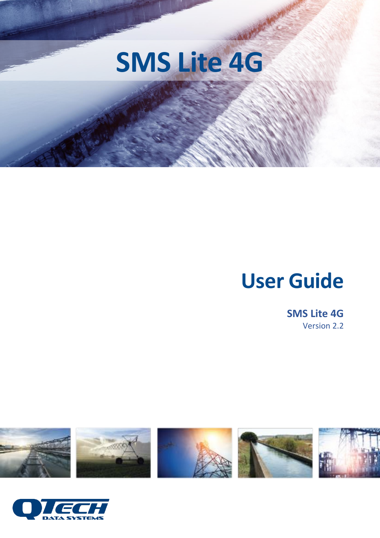

# **User Guide**

**SMS Lite 4G** Version 2.2



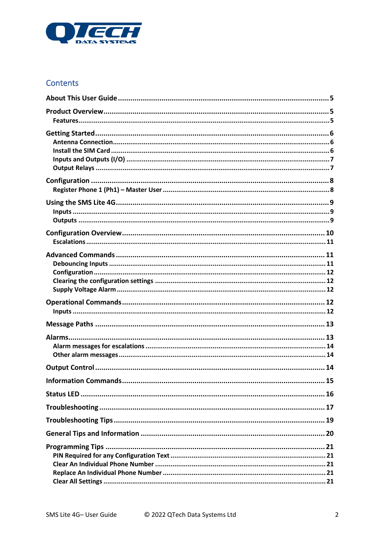

### Contents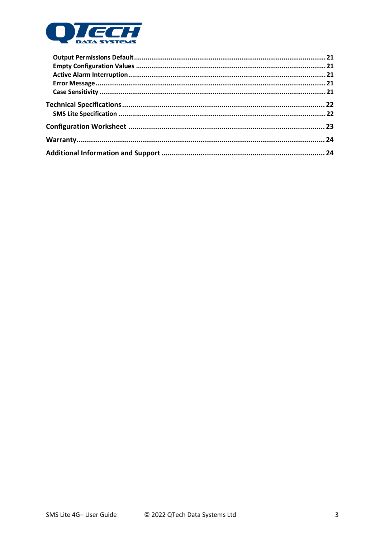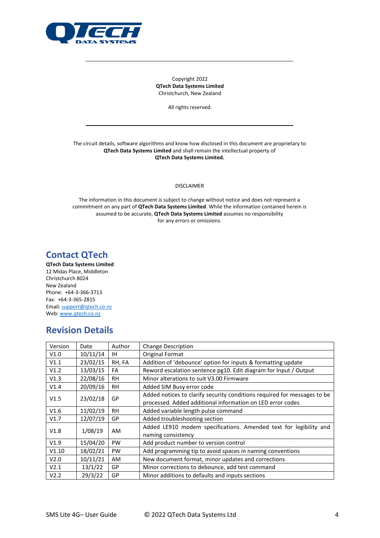

Copyright 2022 **QTech Data Systems Limited** Christchurch, New Zealand

All rights reserved.

The circuit details, software algorithms and know how disclosed in this document are proprietary to **QTech Data Systems Limited** and shall remain the intellectual property of **QTech Data Systems Limited.**

DISCLAIMER

The information in this document is subject to change without notice and does not represent a commitment on any part of **QTech Data Systems Limited**. While the information contained herein is assumed to be accurate, **QTech Data Systems Limited** assumes no responsibility for any errors or omissions.

### **Contact QTech**

**QTech Data Systems Limited** 12 Midas Place, Middleton Christchurch 8024 New Zealand Phone: +64-3-366-3713 Fax: +64-3-365-2815 Email[: support@qtech.co.nz](mailto:support@qtech.co.nz) Web[: www.qtech.co.nz](http://www.qtech.co.nz/)

### **Revision Details**

| Version | Date     | Author    | <b>Change Description</b>                                                |
|---------|----------|-----------|--------------------------------------------------------------------------|
| V1.0    | 10/11/14 | IH.       | <b>Original Format</b>                                                   |
| V1.1    | 23/02/15 | RH, FA    | Addition of 'debounce' option for inputs & formatting update             |
| V1.2    | 13/03/15 | FA        | Reword escalation sentence pg10. Edit diagram for Input / Output         |
| V1.3    | 22/08/16 | <b>RH</b> | Minor alterations to suit V3.00 Firmware                                 |
| V1.4    | 20/09/16 | <b>RH</b> | Added SIM Busy error code                                                |
| V1.5    |          | GP        | Added notices to clarify security conditions required for messages to be |
|         | 23/02/18 |           | processed. Added additional information on LED error codes               |
| V1.6    | 11/02/19 | <b>RH</b> | Added variable length pulse command                                      |
| V1.7    | 12/07/19 | GP        | Added troubleshooting section                                            |
| V1.8    | 1/08/19  | <b>AM</b> | Added LE910 modem specifications. Amended text for legibility and        |
|         |          |           | naming consistency                                                       |
| V1.9    | 15/04/20 | <b>PW</b> | Add product number to version control                                    |
| V1.10   | 18/02/21 | <b>PW</b> | Add programming tip to avoid spaces in naming conventions                |
| V2.0    | 10/11/21 | <b>AM</b> | New document format, minor updates and corrections                       |
| V2.1    | 13/1/22  | GP        | Minor corrections to debounce, add test command                          |
| V2.2    | 29/3/22  | GP        | Minor additions to defaults and inputs sections                          |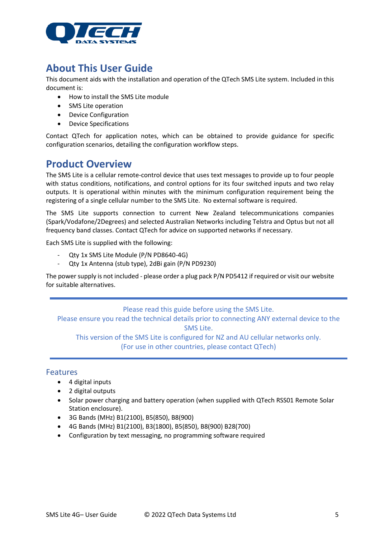

### <span id="page-4-0"></span>**About This User Guide**

This document aids with the installation and operation of the QTech SMS Lite system. Included in this document is:

- How to install the SMS Lite module
- SMS Lite operation
- Device Configuration
- Device Specifications

Contact QTech for application notes, which can be obtained to provide guidance for specific configuration scenarios, detailing the configuration workflow steps.

### <span id="page-4-1"></span>**Product Overview**

The SMS Lite is a cellular remote-control device that uses text messages to provide up to four people with status conditions, notifications, and control options for its four switched inputs and two relay outputs. It is operational within minutes with the minimum configuration requirement being the registering of a single cellular number to the SMS Lite. No external software is required.

The SMS Lite supports connection to current New Zealand telecommunications companies (Spark/Vodafone/2Degrees) and selected Australian Networks including Telstra and Optus but not all frequency band classes. Contact QTech for advice on supported networks if necessary.

Each SMS Lite is supplied with the following:

- Qty 1x SMS Lite Module (P/N PD8640-4G)
- Qty 1x Antenna (stub type), 2dBi gain (P/N PD9230)

The power supply is not included - please order a plug pack P/N PD5412 if required or visit our website for suitable alternatives.

Please read this guide before using the SMS Lite.

Please ensure you read the technical details prior to connecting ANY external device to the SMS Lite.

This version of the SMS Lite is configured for NZ and AU cellular networks only.

(For use in other countries, please contact QTech)

#### <span id="page-4-2"></span>Features

- 4 digital inputs
- 2 digital outputs
- Solar power charging and battery operation (when supplied with QTech RSS01 Remote Solar Station enclosure).
- 3G Bands (MHz) B1(2100), B5(850), B8(900)
- 4G Bands (MHz) B1(2100), B3(1800), B5(850), B8(900) B28(700)
- Configuration by text messaging, no programming software required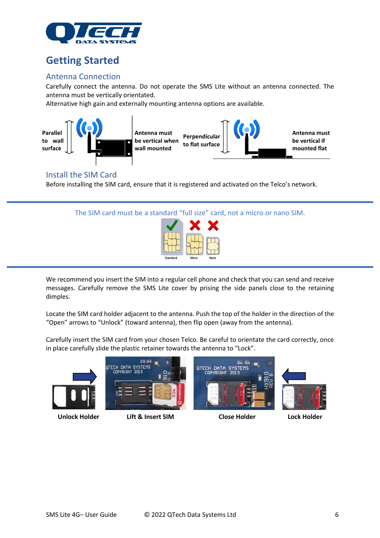

### <span id="page-5-0"></span>**Getting Started**

### <span id="page-5-1"></span>Antenna Connection

Carefully connect the antenna. Do not operate the SMS Lite without an antenna connected. The antenna must be vertically orientated.

Alternative high gain and externally mounting antenna options are available.



### <span id="page-5-2"></span>Install the SIM Card

Before installing the SIM card, ensure that it is registered and activated on the Telco's network.





We recommend you insert the SIM into a regular cell phone and check that you can send and receive messages. Carefully remove the SMS Lite cover by prising the side panels close to the retaining dimples.

Locate the SIM card holder adjacent to the antenna. Push the top of the holder in the direction of the "Open" arrows to "Unlock" (toward antenna), then flip open (away from the antenna).

Carefully insert the SIM card from your chosen Telco. Be careful to orientate the card correctly, once in place carefully slide the plastic retainer towards the antenna to "Lock".



**Unlock Holder Lift & Insert SIM Close Holder Lock Holder**

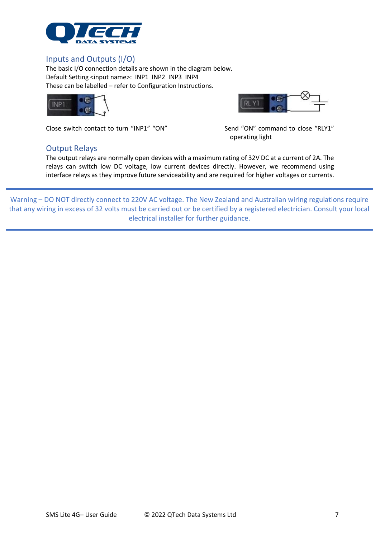

#### <span id="page-6-0"></span>Inputs and Outputs (I/O)

The basic I/O connection details are shown in the diagram below. Default Setting <input name>: INP1 INP2 INP3 INP4 These can be labelled – refer to Configuration Instructions.



Close switch contact to turn "INP1" "ON" Send "ON" command to close "RLY1"

#### <span id="page-6-1"></span>Output Relays



operating light

The output relays are normally open devices with a maximum rating of 32V DC at a current of 2A. The relays can switch low DC voltage, low current devices directly. However, we recommend using interface relays as they improve future serviceability and are required for higher voltages or currents.

Warning – DO NOT directly connect to 220V AC voltage. The New Zealand and Australian wiring regulations require that any wiring in excess of 32 volts must be carried out or be certified by a registered electrician. Consult your local electrical installer for further guidance.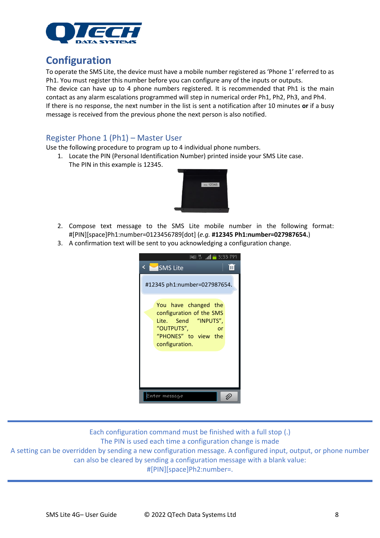

### <span id="page-7-0"></span>**Configuration**

To operate the SMS Lite, the device must have a mobile number registered as 'Phone 1' referred to as Ph1. You must register this number before you can configure any of the inputs or outputs.

The device can have up to 4 phone numbers registered. It is recommended that Ph1 is the main contact as any alarm escalations programmed will step in numerical order Ph1, Ph2, Ph3, and Ph4.

If there is no response, the next number in the list is sent a notification after 10 minutes **or** if a busy message is received from the previous phone the next person is also notified.

### <span id="page-7-1"></span>Register Phone 1 (Ph1) – Master User

Use the following procedure to program up to 4 individual phone numbers.

1. Locate the PIN (Personal Identification Number) printed inside your SMS Lite case. The PIN in this example is 12345.



- 2. Compose text message to the SMS Lite mobile number in the following format: #[PIN][space]Ph1:number=0123456789[dot] (*e.g.* **#12345 Ph1:number=027987654.**)
- 3. A confirmation text will be sent to you acknowledging a configuration change.

| # 71 <b>=</b><br><b>SMS Lite</b>                                                                                                       | 3:33 PM<br>Ш |
|----------------------------------------------------------------------------------------------------------------------------------------|--------------|
| #12345 ph1:number=027987654.                                                                                                           |              |
| You have changed the<br>configuration of the SMS<br>Lite. Send "INPUTS",<br>"OUTPUTS",<br>nr<br>"PHONES" to view the<br>configuration. |              |
| ter message                                                                                                                            |              |

Each configuration command must be finished with a full stop (.) The PIN is used each time a configuration change is made A setting can be overridden by sending a new configuration message. A configured input, output, or phone number can also be cleared by sending a configuration message with a blank value: #[PIN][space]Ph2:number=.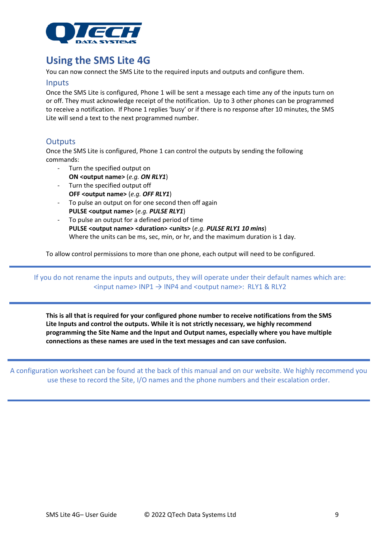

### <span id="page-8-0"></span>**Using the SMS Lite 4G**

You can now connect the SMS Lite to the required inputs and outputs and configure them.

#### <span id="page-8-1"></span>Inputs

Once the SMS Lite is configured, Phone 1 will be sent a message each time any of the inputs turn on or off. They must acknowledge receipt of the notification. Up to 3 other phones can be programmed to receive a notification. If Phone 1 replies 'busy' or if there is no response after 10 minutes, the SMS Lite will send a text to the next programmed number.

### <span id="page-8-2"></span>**Outputs**

Once the SMS Lite is configured, Phone 1 can control the outputs by sending the following commands:

- Turn the specified output on
	- **ON <output name>** (*e.g. ON RLY1*)
- Turn the specified output off **OFF <output name>** (*e.g. OFF RLY1*)
- To pulse an output on for one second then off again **PULSE <output name>** (*e.g. PULSE RLY1*)
- To pulse an output for a defined period of time **PULSE <output name> <duration> <units>** (*e.g. PULSE RLY1 10 mins*) Where the units can be ms, sec, min, or hr, and the maximum duration is 1 day.

To allow control permissions to more than one phone, each output will need to be configured.

If you do not rename the inputs and outputs, they will operate under their default names which are:  $\langle$ input name> INP1  $\rightarrow$  INP4 and  $\langle$ output name>: RLY1 & RLY2

**This is all that is required for your configured phone number to receive notifications from the SMS Lite Inputs and control the outputs. While it is not strictly necessary, we highly recommend programming the Site Name and the Input and Output names, especially where you have multiple connections as these names are used in the text messages and can save confusion.**

A configuration worksheet can be found at the back of this manual and on our website. We highly recommend you use these to record the Site, I/O names and the phone numbers and their escalation order.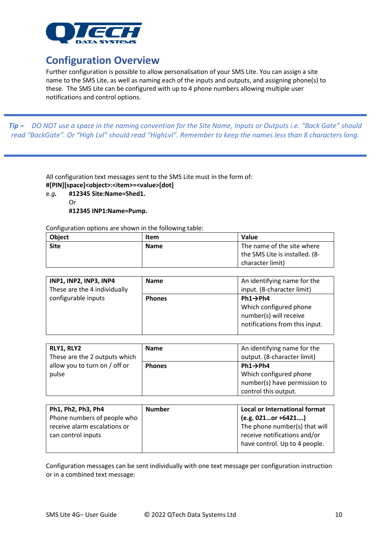

### <span id="page-9-0"></span>**Configuration Overview**

Further configuration is possible to allow personalisation of your SMS Lite. You can assign a site name to the SMS Lite, as well as naming each of the inputs and outputs, and assigning phone(s) to these. The SMS Lite can be configured with up to 4 phone numbers allowing multiple user notifications and control options.

*Tip – DO NOT use a space in the naming convention for the Site Name, Inputs or Outputs i.e. "Back Gate" should read "BackGate". Or "High Lvl" should read "HighLvl". Remember to keep the names less than 8 characters long.*

> All configuration text messages sent to the SMS Lite must in the form of: **#[PIN][space]<object>:<item>=<value>[dot]**

e*.g.* **#12345 Site:Name=Shed1.** Or **#12345 INP1:Name=Pump.**

Configuration options are shown in the following table:

| Object      | Item        | Value                          |
|-------------|-------------|--------------------------------|
| <b>Site</b> | <b>Name</b> | The name of the site where     |
|             |             | the SMS Lite is installed. (8- |
|             |             | character limit)               |

| <b>INP1, INP2, INP3, INP4</b><br>These are the 4 individually | <b>Name</b>   | An identifying name for the<br>input. (8-character limit)                                                   |
|---------------------------------------------------------------|---------------|-------------------------------------------------------------------------------------------------------------|
| configurable inputs                                           | <b>Phones</b> | $Ph1 \rightarrow Ph4$<br>Which configured phone<br>number(s) will receive<br>notifications from this input. |

| RLY1, RLY2                    | <b>Name</b>   | An identifying name for the  |
|-------------------------------|---------------|------------------------------|
| These are the 2 outputs which |               | output. (8-character limit)  |
| allow you to turn on / off or | <b>Phones</b> | $Ph1 \rightarrow Ph4$        |
| pulse                         |               | Which configured phone       |
|                               |               | number(s) have permission to |
|                               |               | control this output.         |

| Ph1, Ph2, Ph3, Ph4           | <b>Number</b> | Local or International format |
|------------------------------|---------------|-------------------------------|
| Phone numbers of people who  |               | $(e.g. 021$ or +6421          |
| receive alarm escalations or |               | The phone number(s) that will |
| can control inputs           |               | receive notifications and/or  |
|                              |               | have control. Up to 4 people. |
|                              |               |                               |

Configuration messages can be sent individually with one text message per configuration instruction or in a combined text message: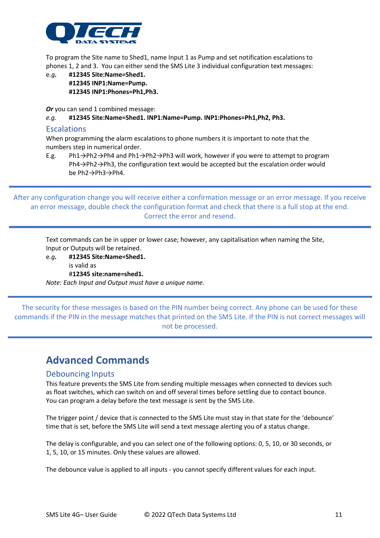

To program the Site name to Shed1, name Input 1 as Pump and set notification escalations to phones 1, 2 and 3. You can either send the SMS Lite 3 individual configuration text messages:

e*.g.* **#12345 Site:Name=Shed1. #12345 INP1:Name=Pump. #12345 INP1:Phones=Ph1,Ph3.**

*Or* you can send 1 combined message:

#### *e.g.* **#12345 Site:Name=Shed1. INP1:Name=Pump. INP1:Phones=Ph1,Ph2, Ph3.**

#### <span id="page-10-0"></span>Escalations

When programming the alarm escalations to phone numbers it is important to note that the numbers step in numerical order.

E.g. Ph1→Ph2→Ph4 and Ph1→Ph2→Ph3 will work, however if you were to attempt to program Ph4→Ph2→Ph3, the configuration text would be accepted but the escalation order would be Ph2→Ph3→Ph4.

After any configuration change you will receive either a confirmation message or an error message. If you receive an error message, double check the configuration format and check that there is a full stop at the end. Correct the error and resend.

Text commands can be in upper or lower case; however, any capitalisation when naming the Site, Input or Outputs will be retained.

e*.g.* **#12345 Site:Name=Shed1.** is valid as #**12345 site:name=shed1.**

*Note: Each Input and Output must have a unique name.*

The security for these messages is based on the PIN number being correct. Any phone can be used for these commands if the PIN in the message matches that printed on the SMS Lite. If the PIN is not correct messages will not be processed.

### <span id="page-10-1"></span>**Advanced Commands**

#### <span id="page-10-2"></span>Debouncing Inputs

This feature prevents the SMS Lite from sending multiple messages when connected to devices such as float switches, which can switch on and off several times before settling due to contact bounce. You can program a delay before the text message is sent by the SMS Lite.

The trigger point / device that is connected to the SMS Lite must stay in that state for the 'debounce' time that is set, before the SMS Lite will send a text message alerting you of a status change.

The delay is configurable, and you can select one of the following options: 0, 5, 10, or 30 seconds, or 1, 5, 10, or 15 minutes. Only these values are allowed.

The debounce value is applied to all inputs - you cannot specify different values for each input.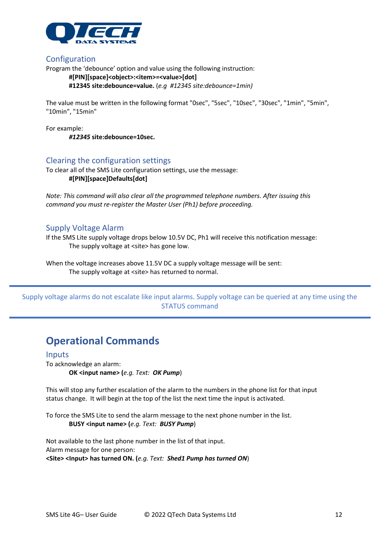

#### <span id="page-11-0"></span>Configuration

Program the 'debounce' option and value using the following instruction:

#### **#[PIN][space]<object>:<item>=<value>[dot]**

**#12345 site:debounce=value.** (*e.g #12345 site:debounce=1min)*

The value must be written in the following format "0sec", "5sec", "10sec", "30sec", "1min", "5min", "10min", "15min"

For example: *#12345* **site:debounce=10sec.**

#### <span id="page-11-1"></span>Clearing the configuration settings

To clear all of the SMS Lite configuration settings, use the message: **#[PIN][space]Defaults[dot]**

*Note: This command will also clear all the programmed telephone numbers. After issuing this command you must re-register the Master User (Ph1) before proceeding.*

#### <span id="page-11-2"></span>Supply Voltage Alarm

If the SMS Lite supply voltage drops below 10.5V DC, Ph1 will receive this notification message: The supply voltage at <site> has gone low.

When the voltage increases above 11.5V DC a supply voltage message will be sent: The supply voltage at <site> has returned to normal.

Supply voltage alarms do not escalate like input alarms. Supply voltage can be queried at any time using the STATUS command

### <span id="page-11-3"></span>**Operational Commands**

#### <span id="page-11-4"></span>Inputs

To acknowledge an alarm: **OK <input name> (***e.g. Text: OK Pump*)

This will stop any further escalation of the alarm to the numbers in the phone list for that input status change. It will begin at the top of the list the next time the input is activated.

To force the SMS Lite to send the alarm message to the next phone number in the list. **BUSY <input name> (***e.g. Text: BUSY Pump*)

Not available to the last phone number in the list of that input. Alarm message for one person: **<Site> <Input> has turned ON. (***e.g. Text: Shed1 Pump has turned ON*)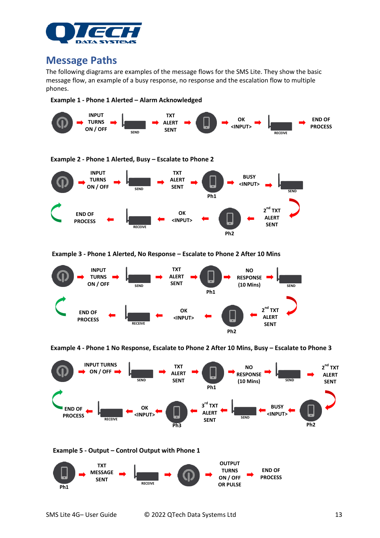

### <span id="page-12-0"></span>**Message Paths**

The following diagrams are examples of the message flows for the SMS Lite. They show the basic message flow, an example of a busy response, no response and the escalation flow to multiple phones.





**Example 3 - Phone 1 Alerted, No Response – Escalate to Phone 2 After 10 Mins**



**Example 4 - Phone 1 No Response, Escalate to Phone 2 After 10 Mins, Busy – Escalate to Phone 3** 

<span id="page-12-1"></span>



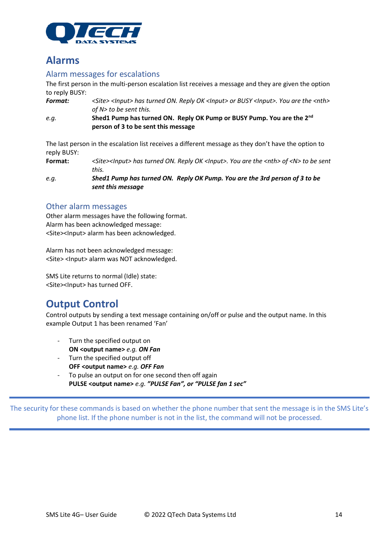

### **Alarms**

### <span id="page-13-0"></span>Alarm messages for escalations

The first person in the multi-person escalation list receives a message and they are given the option to reply BUSY:

*Format: <Site> <Input> has turned ON. Reply OK <Input> or BUSY <Input>. You are the <nth> of N> to be sent this.*

*e.g.* **Shed1 Pump has turned ON. Reply OK Pump or BUSY Pump. You are the 2nd person of 3 to be sent this message**

The last person in the escalation list receives a different message as they don't have the option to reply BUSY:

**Format:** *<Site><Input> has turned ON. Reply OK <Input>. You are the <nth> of <N> to be sent this.*

*e.g. Shed1 Pump has turned ON. Reply OK Pump. You are the 3rd person of 3 to be sent this message*

### <span id="page-13-1"></span>Other alarm messages

Other alarm messages have the following format. Alarm has been acknowledged message: <Site><Input> alarm has been acknowledged.

Alarm has not been acknowledged message: <Site> <Input> alarm was NOT acknowledged.

SMS Lite returns to normal (Idle) state: <Site><Input> has turned OFF.

### <span id="page-13-2"></span>**Output Control**

Control outputs by sending a text message containing on/off or pulse and the output name. In this example Output 1 has been renamed 'Fan'

- Turn the specified output on **ON <output name>** *e.g. ON Fan*
- Turn the specified output off **OFF <output name>** *e.g. OFF Fan*
- To pulse an output on for one second then off again **PULSE <output name>** *e.g. "PULSE Fan", or "PULSE fan 1 sec"*

The security for these commands is based on whether the phone number that sent the message is in the SMS Lite's phone list. If the phone number is not in the list, the command will not be processed.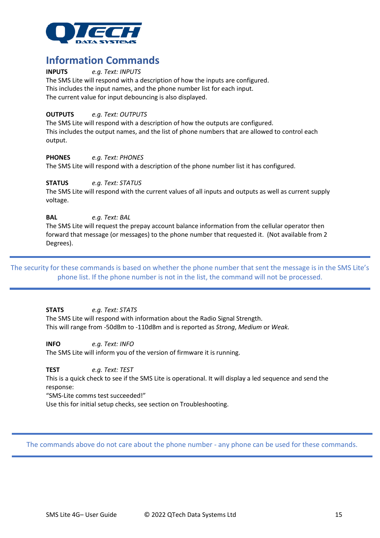

## <span id="page-14-0"></span>**Information Commands**<br> **INPUTS** *e.g. Text: INPUTS*

**INPUTS** *e.g. Text: INPUTS* The SMS Lite will respond with a description of how the inputs are configured. This includes the input names, and the phone number list for each input. The current value for input debouncing is also displayed.

#### **OUTPUTS** *e.g. Text: OUTPUTS*

The SMS Lite will respond with a description of how the outputs are configured. This includes the output names, and the list of phone numbers that are allowed to control each output.

#### **PHONES** *e.g. Text: PHONES*

The SMS Lite will respond with a description of the phone number list it has configured.

#### **STATUS** *e.g. Text: STATUS*

The SMS Lite will respond with the current values of all inputs and outputs as well as current supply voltage.

#### **BAL** *e.g. Text: BAL*

The SMS Lite will request the prepay account balance information from the cellular operator then forward that message (or messages) to the phone number that requested it. (Not available from 2 Degrees).

The security for these commands is based on whether the phone number that sent the message is in the SMS Lite's phone list. If the phone number is not in the list, the command will not be processed.

**STATS** *e.g. Text: STATS*

The SMS Lite will respond with information about the Radio Signal Strength. This will range from -50dBm to -110dBm and is reported as *Strong*, *Medium* or *Weak.*

**INFO** *e.g. Text: INFO* The SMS Lite will inform you of the version of firmware it is running.

**TEST** *e.g. Text: TEST*

This is a quick check to see if the SMS Lite is operational. It will display a led sequence and send the response:

"SMS-Lite comms test succeeded!"

Use this for initial setup checks, see section on Troubleshooting.

The commands above do not care about the phone number - any phone can be used for these commands.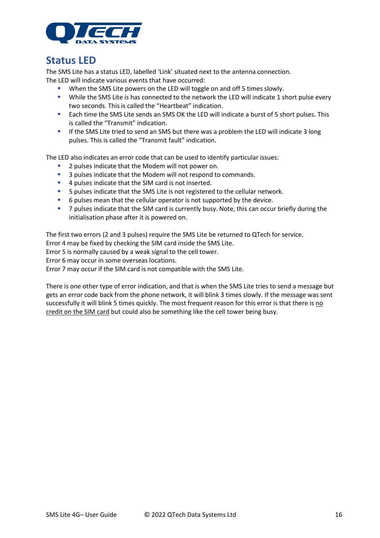

### <span id="page-15-0"></span>**Status LED**

The SMS Lite has a status LED, labelled 'Link' situated next to the antenna connection. The LED will indicate various events that have occurred:

- When the SMS Lite powers on the LED will toggle on and off 5 times slowly.
- While the SMS Lite is has connected to the network the LED will indicate 1 short pulse every two seconds. This is called the "Heartbeat" indication.
- Each time the SMS Lite sends an SMS OK the LED will indicate a burst of 5 short pulses. This is called the "Transmit" indication.
- **.** If the SMS Lite tried to send an SMS but there was a problem the LED will indicate 3 long pulses. This is called the "Transmit fault" indication.

The LED also indicates an error code that can be used to identify particular issues:

- 2 pulses indicate that the Modem will not power on.
- 3 pulses indicate that the Modem will not respond to commands.
- 4 pulses indicate that the SIM card is not inserted.
- 5 pulses indicate that the SMS Lite is not registered to the cellular network.
- 6 pulses mean that the cellular operator is not supported by the device.
- **•** 7 pulses indicate that the SIM card is currently busy. Note, this can occur briefly during the initialisation phase after it is powered on.

The first two errors (2 and 3 pulses) require the SMS Lite be returned to QTech for service.

Error 4 may be fixed by checking the SIM card inside the SMS Lite.

Error 5 is normally caused by a weak signal to the cell tower.

Error 6 may occur in some overseas locations.

Error 7 may occur if the SIM card is not compatible with the SMS Lite.

There is one other type of error indication, and that is when the SMS Lite tries to send a message but gets an error code back from the phone network, it will blink 3 times slowly. If the message was sent successfully it will blink 5 times quickly. The most frequent reason for this error is that there is no credit on the SIM card but could also be something like the cell tower being busy.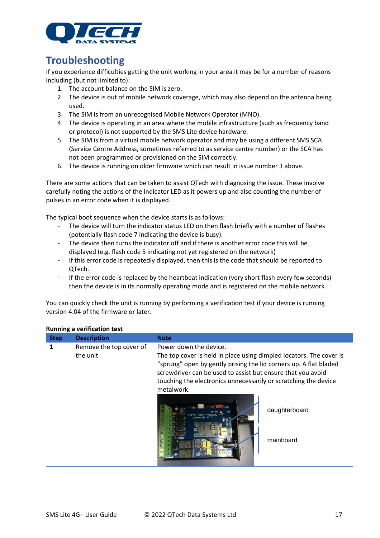

### <span id="page-16-0"></span>**Troubleshooting**

If you experience difficulties getting the unit working in your area it may be for a number of reasons including (but not limited to):

- 1. The account balance on the SIM is zero.
- 2. The device is out of mobile network coverage, which may also depend on the antenna being used.
- 3. The SIM is from an unrecognised Mobile Network Operator (MNO).
- 4. The device is operating in an area where the mobile infrastructure (such as frequency band or protocol) is not supported by the SMS Lite device hardware.
- 5. The SIM is from a virtual mobile network operator and may be using a different SMS SCA (Service Centre Address, sometimes referred to as service centre number) or the SCA has not been programmed or provisioned on the SIM correctly.
- 6. The device is running on older firmware which can result in issue number 3 above.

There are some actions that can be taken to assist QTech with diagnosing the issue. These involve carefully noting the actions of the indicator LED as it powers up and also counting the number of pulses in an error code when it is displayed.

The typical boot sequence when the device starts is as follows:

- The device will turn the indicator status LED on then flash briefly with a number of flashes (potentially flash code 7 indicating the device is busy).
- The device then turns the indicator off and if there is another error code this will be displayed (e.g. flash code 5 indicating not yet registered on the network)
- If this error code is repeatedly displayed, then this is the code that should be reported to QTech.
- If the error code is replaced by the heartbeat indication (very short flash every few seconds) then the device is in its normally operating mode and is registered on the mobile network.

You can quickly check the unit is running by performing a verification test if your device is running version 4.04 of the firmware or later.

| <b>Step</b> | <b>Description</b>                  | <b>Note</b>                                                                                                                                                                                                                                                                                                        |                            |
|-------------|-------------------------------------|--------------------------------------------------------------------------------------------------------------------------------------------------------------------------------------------------------------------------------------------------------------------------------------------------------------------|----------------------------|
| 1           | Remove the top cover of<br>the unit | Power down the device.<br>The top cover is held in place using dimpled locators. The cover is<br>"sprung" open by gently prising the lid corners up. A flat bladed<br>screwdriver can be used to assist but ensure that you avoid<br>touching the electronics unnecessarily or scratching the device<br>metalwork. |                            |
|             |                                     |                                                                                                                                                                                                                                                                                                                    | daughterboard<br>mainboard |

#### **Running a verification test**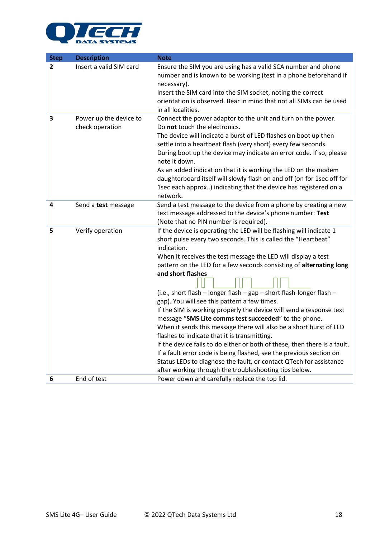

| <b>Step</b>  | <b>Description</b>      | <b>Note</b>                                                                                                                                      |
|--------------|-------------------------|--------------------------------------------------------------------------------------------------------------------------------------------------|
| $\mathbf{2}$ | Insert a valid SIM card | Ensure the SIM you are using has a valid SCA number and phone<br>number and is known to be working (test in a phone beforehand if<br>necessary). |
|              |                         | Insert the SIM card into the SIM socket, noting the correct                                                                                      |
|              |                         | orientation is observed. Bear in mind that not all SIMs can be used<br>in all localities.                                                        |
| 3            | Power up the device to  | Connect the power adaptor to the unit and turn on the power.                                                                                     |
|              | check operation         | Do not touch the electronics.                                                                                                                    |
|              |                         | The device will indicate a burst of LED flashes on boot up then                                                                                  |
|              |                         | settle into a heartbeat flash (very short) every few seconds.                                                                                    |
|              |                         | During boot up the device may indicate an error code. If so, please<br>note it down.                                                             |
|              |                         | As an added indication that it is working the LED on the modem                                                                                   |
|              |                         | daughterboard itself will slowly flash on and off (on for 1sec off for                                                                           |
|              |                         | 1sec each approx) indicating that the device has registered on a                                                                                 |
|              |                         | network.                                                                                                                                         |
| 4            | Send a test message     | Send a test message to the device from a phone by creating a new                                                                                 |
|              |                         | text message addressed to the device's phone number: Test                                                                                        |
|              |                         | (Note that no PIN number is required).                                                                                                           |
| 5            | Verify operation        | If the device is operating the LED will be flashing will indicate 1                                                                              |
|              |                         | short pulse every two seconds. This is called the "Heartbeat"                                                                                    |
|              |                         | indication.                                                                                                                                      |
|              |                         | When it receives the test message the LED will display a test                                                                                    |
|              |                         | pattern on the LED for a few seconds consisting of alternating long                                                                              |
|              |                         | and short flashes                                                                                                                                |
|              |                         | (i.e., short flash - longer flash - gap - short flash-longer flash -                                                                             |
|              |                         | gap). You will see this pattern a few times.                                                                                                     |
|              |                         | If the SIM is working properly the device will send a response text                                                                              |
|              |                         | message "SMS Lite comms test succeeded" to the phone.                                                                                            |
|              |                         | When it sends this message there will also be a short burst of LED                                                                               |
|              |                         | flashes to indicate that it is transmitting.                                                                                                     |
|              |                         | If the device fails to do either or both of these, then there is a fault.                                                                        |
|              |                         | If a fault error code is being flashed, see the previous section on                                                                              |
|              |                         | Status LEDs to diagnose the fault, or contact QTech for assistance                                                                               |
|              |                         | after working through the troubleshooting tips below.                                                                                            |
| 6            | End of test             | Power down and carefully replace the top lid.                                                                                                    |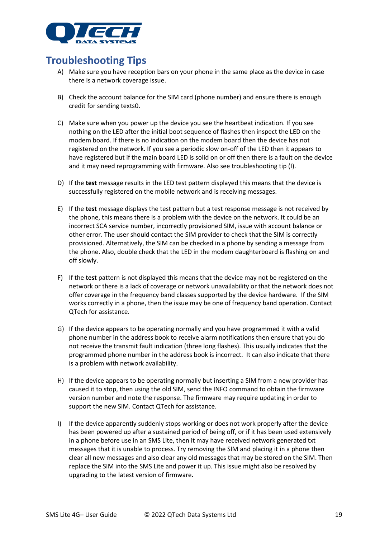

### <span id="page-18-0"></span>**Troubleshooting Tips**

- A) Make sure you have reception bars on your phone in the same place as the device in case there is a network coverage issue.
- B) Check the account balance for the SIM card (phone number) and ensure there is enough credit for sending texts0.
- C) Make sure when you power up the device you see the heartbeat indication. If you see nothing on the LED after the initial boot sequence of flashes then inspect the LED on the modem board. If there is no indication on the modem board then the device has not registered on the network. If you see a periodic slow on-off of the LED then it appears to have registered but if the main board LED is solid on or off then there is a fault on the device and it may need reprogramming with firmware. Also see troubleshooting tip (I).
- D) If the **test** message results in the LED test pattern displayed this means that the device is successfully registered on the mobile network and is receiving messages.
- E) If the **test** message displays the test pattern but a test response message is not received by the phone, this means there is a problem with the device on the network. It could be an incorrect SCA service number, incorrectly provisioned SIM, issue with account balance or other error. The user should contact the SIM provider to check that the SIM is correctly provisioned. Alternatively, the SIM can be checked in a phone by sending a message from the phone. Also, double check that the LED in the modem daughterboard is flashing on and off slowly.
- F) If the **test** pattern is not displayed this means that the device may not be registered on the network or there is a lack of coverage or network unavailability or that the network does not offer coverage in the frequency band classes supported by the device hardware. If the SIM works correctly in a phone, then the issue may be one of frequency band operation. Contact QTech for assistance.
- G) If the device appears to be operating normally and you have programmed it with a valid phone number in the address book to receive alarm notifications then ensure that you do not receive the transmit fault indication (three long flashes). This usually indicates that the programmed phone number in the address book is incorrect. It can also indicate that there is a problem with network availability.
- H) If the device appears to be operating normally but inserting a SIM from a new provider has caused it to stop, then using the old SIM, send the INFO command to obtain the firmware version number and note the response. The firmware may require updating in order to support the new SIM. Contact QTech for assistance.
- I) If the device apparently suddenly stops working or does not work properly after the device has been powered up after a sustained period of being off, or if it has been used extensively in a phone before use in an SMS Lite, then it may have received network generated txt messages that it is unable to process. Try removing the SIM and placing it in a phone then clear all new messages and also clear any old messages that may be stored on the SIM. Then replace the SIM into the SMS Lite and power it up. This issue might also be resolved by upgrading to the latest version of firmware.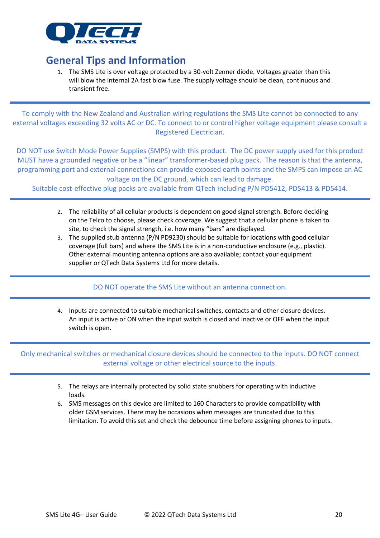

### <span id="page-19-0"></span>**General Tips and Information**

1. The SMS Lite is over voltage protected by a 30-volt Zenner diode. Voltages greater than this will blow the internal 2A fast blow fuse. The supply voltage should be clean, continuous and transient free.

To comply with the New Zealand and Australian wiring regulations the SMS Lite cannot be connected to any external voltages exceeding 32 volts AC or DC. To connect to or control higher voltage equipment please consult a Registered Electrician.

DO NOT use Switch Mode Power Supplies (SMPS) with this product. The DC power supply used for this product MUST have a grounded negative or be a "linear" transformer-based plug pack. The reason is that the antenna, programming port and external connections can provide exposed earth points and the SMPS can impose an AC voltage on the DC ground, which can lead to damage.

Suitable cost-effective plug packs are available from QTech including P/N PD5412, PD5413 & PD5414.

- 2. The reliability of all cellular products is dependent on good signal strength. Before deciding on the Telco to choose, please check coverage. We suggest that a cellular phone is taken to site, to check the signal strength, i.e. how many "bars" are displayed.
- 3. The supplied stub antenna (P/N PD9230) should be suitable for locations with good cellular coverage (full bars) and where the SMS Lite is in a non-conductive enclosure (e.g., plastic). Other external mounting antenna options are also available; contact your equipment supplier or QTech Data Systems Ltd for more details.

DO NOT operate the SMS Lite without an antenna connection.

4. Inputs are connected to suitable mechanical switches, contacts and other closure devices. An input is active or ON when the input switch is closed and inactive or OFF when the input switch is open.

Only mechanical switches or mechanical closure devices should be connected to the inputs. DO NOT connect external voltage or other electrical source to the inputs.

- 5. The relays are internally protected by solid state snubbers for operating with inductive loads.
- 6. SMS messages on this device are limited to 160 Characters to provide compatibility with older GSM services. There may be occasions when messages are truncated due to this limitation. To avoid this set and check the debounce time before assigning phones to inputs.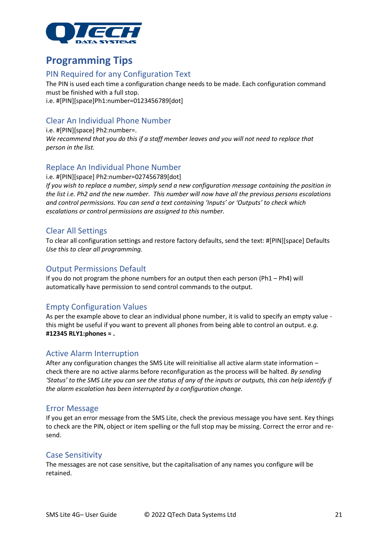

### <span id="page-20-0"></span>**Programming Tips**

### <span id="page-20-1"></span>PIN Required for any Configuration Text

The PIN is used each time a configuration change needs to be made. Each configuration command must be finished with a full stop. i.e. #[PIN][space]Ph1:number=0123456789[dot]

### <span id="page-20-2"></span>Clear An Individual Phone Number

i.e. #[PIN][space] Ph2:number=. *We recommend that you do this if a staff member leaves and you will not need to replace that person in the list.* 

### <span id="page-20-3"></span>Replace An Individual Phone Number

i.e. #[PIN][space] Ph2:number=027456789[dot]

*If you wish to replace a number, simply send a new configuration message containing the position in the list i.e. Ph2 and the new number. This number will now have all the previous persons escalations and control permissions. You can send a text containing 'Inputs' or 'Outputs' to check which escalations or control permissions are assigned to this number.*

### <span id="page-20-4"></span>Clear All Settings

To clear all configuration settings and restore factory defaults, send the text: #[PIN][space] Defaults *Use this to clear all programming.*

### <span id="page-20-5"></span>Output Permissions Default

If you do not program the phone numbers for an output then each person (Ph1 – Ph4) will automatically have permission to send control commands to the output.

### <span id="page-20-6"></span>Empty Configuration Values

As per the example above to clear an individual phone number, it is valid to specify an empty value this might be useful if you want to prevent all phones from being able to control an output. e*.g.* **#12345 RLY1:phones = .**

#### <span id="page-20-7"></span>Active Alarm Interruption

After any configuration changes the SMS Lite will reinitialise all active alarm state information – check there are no active alarms before reconfiguration as the process will be halted. *By sending 'Status' to the SMS Lite you can see the status of any of the inputs or outputs, this can help identify if the alarm escalation has been interrupted by a configuration change.*

#### <span id="page-20-8"></span>Error Message

If you get an error message from the SMS Lite, check the previous message you have sent. Key things to check are the PIN, object or item spelling or the full stop may be missing. Correct the error and resend.

#### <span id="page-20-9"></span>Case Sensitivity

The messages are not case sensitive, but the capitalisation of any names you configure will be retained.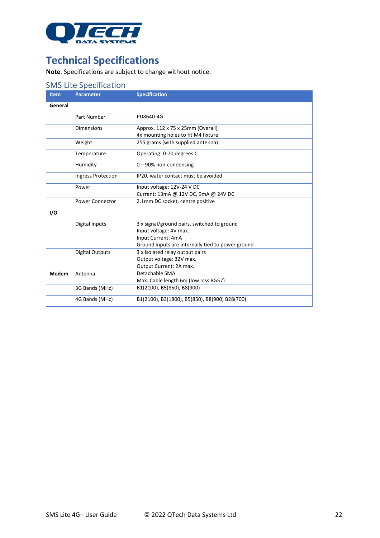

### <span id="page-21-0"></span>**Technical Specifications**

**Note**. Specifications are subject to change without notice.

### <span id="page-21-1"></span>SMS Lite Specification

| <b>Item</b> | <b>Parameter</b>          | <b>Specification</b>                              |
|-------------|---------------------------|---------------------------------------------------|
| General     |                           |                                                   |
|             | Part Number               | PD8640-4G                                         |
|             | <b>Dimensions</b>         | Approx. 112 x 75 x 25mm (Overall)                 |
|             |                           | 4x mounting holes to fit M4 fixture               |
|             | Weight                    | 255 grams (with supplied antenna)                 |
|             | Temperature               | Operating: 0-70 degrees C                         |
|             | Humidity                  | $0 - 90\%$ non-condensing                         |
|             | <b>Ingress Protection</b> | IP20, water contact must be avoided               |
|             | Power                     | Input voltage: 12V-24 V DC                        |
|             |                           | Current: 13mA @ 12V DC, 9mA @ 24V DC              |
|             | <b>Power Connector</b>    | 2.1mm DC socket, centre positive                  |
| I/O         |                           |                                                   |
|             | Digital Inputs            | 3 x signal/ground pairs, switched to ground       |
|             |                           | Input voltage: 4V max.                            |
|             |                           | Input Current: 4mA                                |
|             |                           | Ground inputs are internally tied to power ground |
|             | Digital Outputs           | 3 x isolated relay output pairs                   |
|             |                           | Output voltage: 32V max.                          |
|             |                           | Output Current: 2A max.                           |
| Modem       | Antenna                   | Detachable SMA                                    |
|             |                           | Max. Cable length 6m (low loss RG57)              |
|             | 3G Bands (MHz)            | B1(2100), B5(850), B8(900)                        |
|             | 4G Bands (MHz)            | B1(2100), B3(1800), B5(850), B8(900) B28(700)     |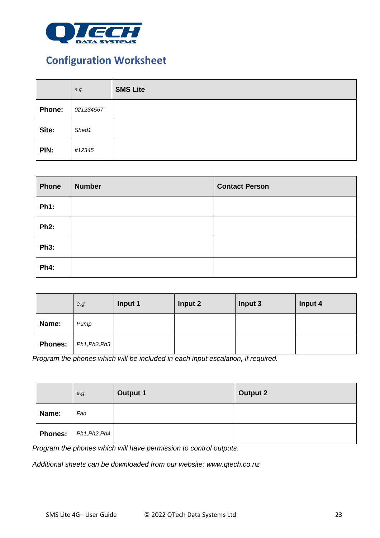

### <span id="page-22-0"></span>**Configuration Worksheet**

|               | e.g.      | <b>SMS Lite</b> |
|---------------|-----------|-----------------|
| <b>Phone:</b> | 021234567 |                 |
| Site:         | Shed1     |                 |
| PIN:          | #12345    |                 |

| Phone       | <b>Number</b> | <b>Contact Person</b> |
|-------------|---------------|-----------------------|
| <b>Ph1:</b> |               |                       |
| <b>Ph2:</b> |               |                       |
| <b>Ph3:</b> |               |                       |
| <b>Ph4:</b> |               |                       |

|                | e.g.          | Input 1 | Input 2 | Input 3 | Input 4 |
|----------------|---------------|---------|---------|---------|---------|
| Name:          | Pump          |         |         |         |         |
| <b>Phones:</b> | Ph1, Ph2, Ph3 |         |         |         |         |

*Program the phones which will be included in each input escalation, if required.*

|                | e.g.          | <b>Output 1</b> | <b>Output 2</b> |
|----------------|---------------|-----------------|-----------------|
| Name:          | Fan           |                 |                 |
| <b>Phones:</b> | Ph1, Ph2, Ph4 |                 |                 |

*Program the phones which will have permission to control outputs.*

*Additional sheets can be downloaded from our website: www.qtech.co.nz*